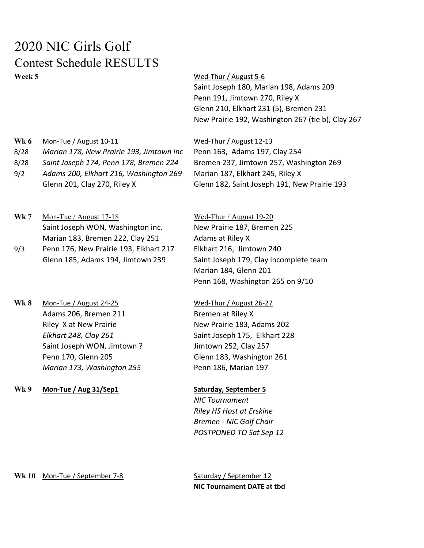## 2020 NIC Girls Golf Contest Schedule RESULTS Week 5 Week 5

Saint Joseph 180, Marian 198, Adams 209 Penn 191, Jimtown 270, Riley X Glenn 210, Elkhart 231 (5), Bremen 231 New Prairie 192, Washington 267 (tie b), Clay 267

Wk 6 Mon-Tue / August 10-11 Wed-Thur / August 12-13 8/28 Marian 178, New Prairie 193, Jimtown inc Penn 163, Adams 197, Clay 254 8/28 Saint Joseph 174, Penn 178, Bremen 224 Bremen 237, Jimtown 257, Washington 269 9/2 Adams 200, Elkhart 216, Washington 269 Marian 187, Elkhart 245, Riley X

- Glenn 201, Clay 270, Riley X Glenn 182, Saint Joseph 191, New Prairie 193 Wk 7 Mon-Tue / August 17-18 Wed-Thur / August 19-20
- Saint Joseph WON, Washington inc. New Prairie 187, Bremen 225 Marian 183, Bremen 222, Clay 251 Adams at Riley X 9/3 Penn 176, New Prairie 193, Elkhart 217 Elkhart 216, Jimtown 240
- Wk 8 Mon-Tue / August 24-25 Wed-Thur / August 26-27 Adams 206, Bremen 211 Bremen at Riley X Riley X at New Prairie New Prairie New Prairie 183, Adams 202 Saint Joseph WON, Jimtown ? Jimtown 252, Clay 257 Penn 170, Glenn 205 Glenn 183, Washington 261 Marian 173, Washington 255 Penn 186, Marian 197
- Wk 9 Mon-Tue / Aug 31/Sep1 Saturday, September 5

Glenn 185, Adams 194, Jimtown 239 Saint Joseph 179, Clay incomplete team Marian 184, Glenn 201 Penn 168, Washington 265 on 9/10

Elkhart 248, Clay 261 Saint Joseph 175, Elkhart 228

NIC Tournament Riley HS Host at Erskine Bremen - NIC Golf Chair POSTPONED TO Sat Sep 12

Wk 10 Mon-Tue / September 7-8 Saturday / September 12

NIC Tournament DATE at tbd